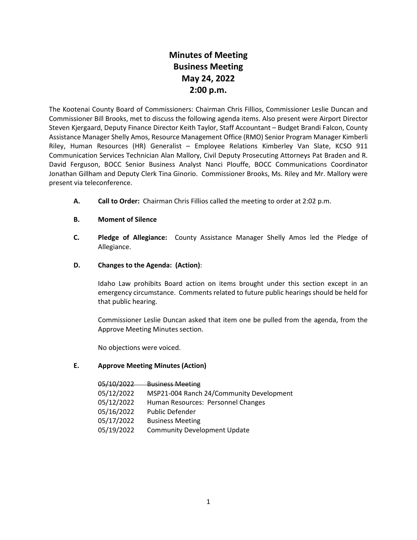# **Minutes of Meeting Business Meeting May 24, 2022 2:00 p.m.**

The Kootenai County Board of Commissioners: Chairman Chris Fillios, Commissioner Leslie Duncan and Commissioner Bill Brooks, met to discuss the following agenda items. Also present were Airport Director Steven Kjergaard, Deputy Finance Director Keith Taylor, Staff Accountant – Budget Brandi Falcon, County Assistance Manager Shelly Amos, Resource Management Office (RMO) Senior Program Manager Kimberli Riley, Human Resources (HR) Generalist – Employee Relations Kimberley Van Slate, KCSO 911 Communication Services Technician Alan Mallory, Civil Deputy Prosecuting Attorneys Pat Braden and R. David Ferguson, BOCC Senior Business Analyst Nanci Plouffe, BOCC Communications Coordinator Jonathan Gillham and Deputy Clerk Tina Ginorio. Commissioner Brooks, Ms. Riley and Mr. Mallory were present via teleconference.

- **A. Call to Order:** Chairman Chris Fillios called the meeting to order at 2:02 p.m.
- **B. Moment of Silence**
- **C. Pledge of Allegiance:** County Assistance Manager Shelly Amos led the Pledge of Allegiance.
- **D. Changes to the Agenda: (Action)**:

Idaho Law prohibits Board action on items brought under this section except in an emergency circumstance. Comments related to future public hearings should be held for that public hearing.

Commissioner Leslie Duncan asked that item one be pulled from the agenda, from the Approve Meeting Minutes section.

No objections were voiced.

#### **E. Approve Meeting Minutes (Action)**

| 05/10/2022 | <b>Business Meeting</b>                  |
|------------|------------------------------------------|
| 05/12/2022 | MSP21-004 Ranch 24/Community Development |
| 05/12/2022 | Human Resources: Personnel Changes       |
| 05/16/2022 | <b>Public Defender</b>                   |
| 05/17/2022 | <b>Business Meeting</b>                  |
| 05/19/2022 | <b>Community Development Update</b>      |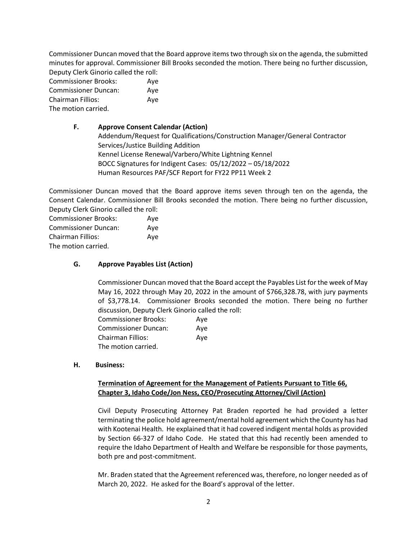Commissioner Duncan moved that the Board approve items two through six on the agenda, the submitted minutes for approval. Commissioner Bill Brooks seconded the motion. There being no further discussion, Deputy Clerk Ginorio called the roll:

| <b>Commissioner Brooks:</b> | Ave |
|-----------------------------|-----|
| <b>Commissioner Duncan:</b> | Ave |
| Chairman Fillios:           | Aye |
| The motion carried.         |     |

# **F. Approve Consent Calendar (Action)** Addendum/Request for Qualifications/Construction Manager/General Contractor Services/Justice Building Addition Kennel License Renewal/Varbero/White Lightning Kennel BOCC Signatures for Indigent Cases: 05/12/2022 – 05/18/2022 Human Resources PAF/SCF Report for FY22 PP11 Week 2

Commissioner Duncan moved that the Board approve items seven through ten on the agenda, the Consent Calendar. Commissioner Bill Brooks seconded the motion. There being no further discussion, Deputy Clerk Ginorio called the roll:

Commissioner Brooks: Aye Commissioner Duncan: Aye Chairman Fillios: Aye The motion carried.

# **G. Approve Payables List (Action)**

Commissioner Duncan moved that the Board accept the Payables List for the week of May May 16, 2022 through May 20, 2022 in the amount of \$766,328.78, with jury payments of \$3,778.14. Commissioner Brooks seconded the motion. There being no further discussion, Deputy Clerk Ginorio called the roll:

| <b>Commissioner Brooks:</b> | Ave |
|-----------------------------|-----|
| <b>Commissioner Duncan:</b> | Ave |
| <b>Chairman Fillios:</b>    | Ave |
| The motion carried.         |     |

#### **H. Business:**

## **Termination of Agreement for the Management of Patients Pursuant to Title 66, Chapter 3, Idaho Code/Jon Ness, CEO/Prosecuting Attorney/Civil (Action)**

Civil Deputy Prosecuting Attorney Pat Braden reported he had provided a letter terminating the police hold agreement/mental hold agreement which the County has had with Kootenai Health. He explained that it had covered indigent mental holds as provided by Section 66-327 of Idaho Code. He stated that this had recently been amended to require the Idaho Department of Health and Welfare be responsible for those payments, both pre and post-commitment.

Mr. Braden stated that the Agreement referenced was, therefore, no longer needed as of March 20, 2022. He asked for the Board's approval of the letter.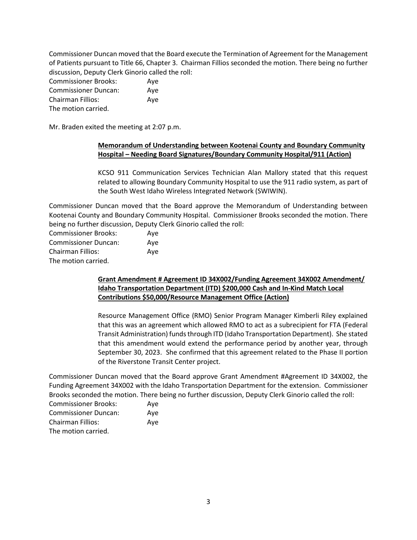Commissioner Duncan moved that the Board execute the Termination of Agreement for the Management of Patients pursuant to Title 66, Chapter 3. Chairman Fillios seconded the motion. There being no further discussion, Deputy Clerk Ginorio called the roll:

| <b>Commissioner Brooks:</b> | Ave |
|-----------------------------|-----|
| <b>Commissioner Duncan:</b> | Ave |
| <b>Chairman Fillios:</b>    | Aye |
| The motion carried.         |     |

Mr. Braden exited the meeting at 2:07 p.m.

## **Memorandum of Understanding between Kootenai County and Boundary Community Hospital – Needing Board Signatures/Boundary Community Hospital/911 (Action)**

KCSO 911 Communication Services Technician Alan Mallory stated that this request related to allowing Boundary Community Hospital to use the 911 radio system, as part of the South West Idaho Wireless Integrated Network (SWIWIN).

Commissioner Duncan moved that the Board approve the Memorandum of Understanding between Kootenai County and Boundary Community Hospital. Commissioner Brooks seconded the motion. There being no further discussion, Deputy Clerk Ginorio called the roll:

| <b>Commissioner Brooks:</b> | Ave |
|-----------------------------|-----|
| <b>Commissioner Duncan:</b> | Aye |
| Chairman Fillios:           | Ave |
| The motion carried.         |     |

## **Grant Amendment # Agreement ID 34X002/Funding Agreement 34X002 Amendment/ Idaho Transportation Department (ITD) \$200,000 Cash and In-Kind Match Local Contributions \$50,000/Resource Management Office (Action)**

Resource Management Office (RMO) Senior Program Manager Kimberli Riley explained that this was an agreement which allowed RMO to act as a subrecipient for FTA (Federal Transit Administration) funds through ITD (Idaho Transportation Department). She stated that this amendment would extend the performance period by another year, through September 30, 2023. She confirmed that this agreement related to the Phase II portion of the Riverstone Transit Center project.

Commissioner Duncan moved that the Board approve Grant Amendment #Agreement ID 34X002, the Funding Agreement 34X002 with the Idaho Transportation Department for the extension. Commissioner Brooks seconded the motion. There being no further discussion, Deputy Clerk Ginorio called the roll:

| <b>Commissioner Brooks:</b> | Ave |
|-----------------------------|-----|
| <b>Commissioner Duncan:</b> | Ave |
| Chairman Fillios:           | Ave |
| The motion carried.         |     |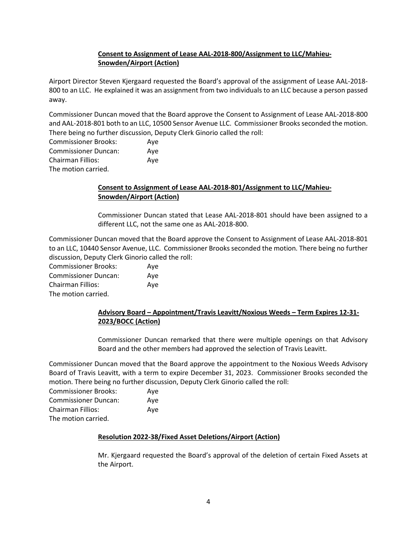# **Consent to Assignment of Lease AAL-2018-800/Assignment to LLC/Mahieu-Snowden/Airport (Action)**

Airport Director Steven Kjergaard requested the Board's approval of the assignment of Lease AAL-2018- 800 to an LLC. He explained it was an assignment from two individuals to an LLC because a person passed away.

Commissioner Duncan moved that the Board approve the Consent to Assignment of Lease AAL-2018-800 and AAL-2018-801 both to an LLC, 10500 Sensor Avenue LLC. Commissioner Brooks seconded the motion. There being no further discussion, Deputy Clerk Ginorio called the roll:

Commissioner Brooks: Aye Commissioner Duncan: Aye Chairman Fillios: Aye The motion carried.

# **Consent to Assignment of Lease AAL-2018-801/Assignment to LLC/Mahieu-Snowden/Airport (Action)**

Commissioner Duncan stated that Lease AAL-2018-801 should have been assigned to a different LLC, not the same one as AAL-2018-800.

Commissioner Duncan moved that the Board approve the Consent to Assignment of Lease AAL-2018-801 to an LLC, 10440 Sensor Avenue, LLC. Commissioner Brooksseconded the motion. There being no further discussion, Deputy Clerk Ginorio called the roll:

Commissioner Brooks: Aye Commissioner Duncan: Aye Chairman Fillios: Aye The motion carried.

# **Advisory Board – Appointment/Travis Leavitt/Noxious Weeds – Term Expires 12-31- 2023/BOCC (Action)**

Commissioner Duncan remarked that there were multiple openings on that Advisory Board and the other members had approved the selection of Travis Leavitt.

Commissioner Duncan moved that the Board approve the appointment to the Noxious Weeds Advisory Board of Travis Leavitt, with a term to expire December 31, 2023. Commissioner Brooks seconded the motion. There being no further discussion, Deputy Clerk Ginorio called the roll:

| <b>Commissioner Brooks:</b> | Ave |
|-----------------------------|-----|
| <b>Commissioner Duncan:</b> | Ave |
| <b>Chairman Fillios:</b>    | Ave |
| The motion carried.         |     |

# **Resolution 2022-38/Fixed Asset Deletions/Airport (Action)**

Mr. Kjergaard requested the Board's approval of the deletion of certain Fixed Assets at the Airport.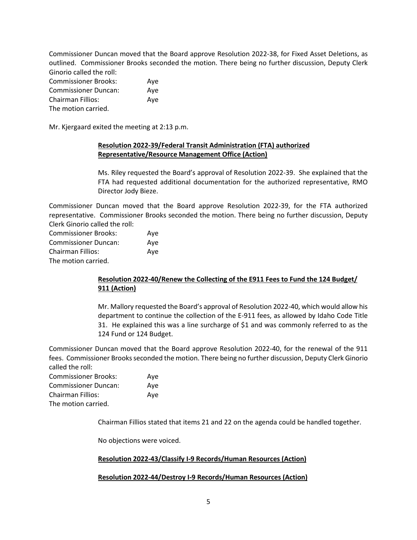Commissioner Duncan moved that the Board approve Resolution 2022-38, for Fixed Asset Deletions, as outlined. Commissioner Brooks seconded the motion. There being no further discussion, Deputy Clerk Ginorio called the roll:

| <b>Commissioner Brooks:</b> | Ave |
|-----------------------------|-----|
| <b>Commissioner Duncan:</b> | Ave |
| Chairman Fillios:           | Ave |
| The motion carried.         |     |

Mr. Kjergaard exited the meeting at 2:13 p.m.

## **Resolution 2022-39/Federal Transit Administration (FTA) authorized Representative/Resource Management Office (Action)**

Ms. Riley requested the Board's approval of Resolution 2022-39. She explained that the FTA had requested additional documentation for the authorized representative, RMO Director Jody Bieze.

Commissioner Duncan moved that the Board approve Resolution 2022-39, for the FTA authorized representative. Commissioner Brooks seconded the motion. There being no further discussion, Deputy Clerk Ginorio called the roll:

| <b>Commissioner Brooks:</b> | Ave |
|-----------------------------|-----|
| <b>Commissioner Duncan:</b> | Ave |
| Chairman Fillios:           | Ave |
| The motion carried.         |     |

# **Resolution 2022-40/Renew the Collecting of the E911 Fees to Fund the 124 Budget/ 911 (Action)**

Mr. Mallory requested the Board's approval of Resolution 2022-40, which would allow his department to continue the collection of the E-911 fees, as allowed by Idaho Code Title 31. He explained this was a line surcharge of \$1 and was commonly referred to as the 124 Fund or 124 Budget.

Commissioner Duncan moved that the Board approve Resolution 2022-40, for the renewal of the 911 fees. Commissioner Brooks seconded the motion. There being no further discussion, Deputy Clerk Ginorio called the roll:

| <b>Commissioner Brooks:</b> | Aye |
|-----------------------------|-----|
| <b>Commissioner Duncan:</b> | Aye |
| Chairman Fillios:           | Aye |
| The motion carried.         |     |

Chairman Fillios stated that items 21 and 22 on the agenda could be handled together.

No objections were voiced.

# **Resolution 2022-43/Classify I-9 Records/Human Resources (Action)**

#### **Resolution 2022-44/Destroy I-9 Records/Human Resources (Action)**